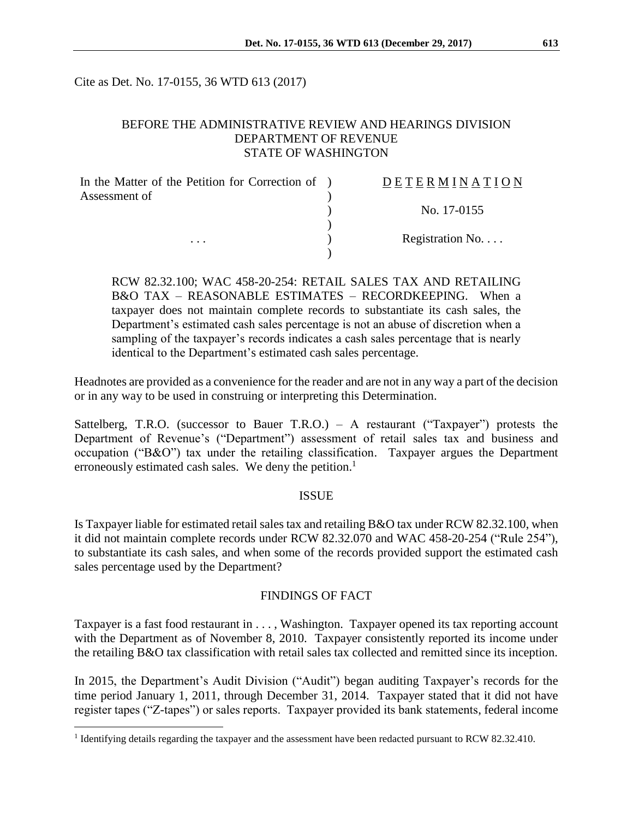Cite as Det. No. 17-0155, 36 WTD 613 (2017)

## BEFORE THE ADMINISTRATIVE REVIEW AND HEARINGS DIVISION DEPARTMENT OF REVENUE STATE OF WASHINGTON

| In the Matter of the Petition for Correction of ) | DETERMINATION   |
|---------------------------------------------------|-----------------|
| Assessment of                                     | No. 17-0155     |
|                                                   |                 |
| $\cdots$                                          | Registration No |
|                                                   |                 |

RCW 82.32.100; WAC 458-20-254: RETAIL SALES TAX AND RETAILING B&O TAX – REASONABLE ESTIMATES – RECORDKEEPING. When a taxpayer does not maintain complete records to substantiate its cash sales, the Department's estimated cash sales percentage is not an abuse of discretion when a sampling of the taxpayer's records indicates a cash sales percentage that is nearly identical to the Department's estimated cash sales percentage.

Headnotes are provided as a convenience for the reader and are not in any way a part of the decision or in any way to be used in construing or interpreting this Determination.

Sattelberg, T.R.O. (successor to Bauer T.R.O.) – A restaurant ("Taxpayer") protests the Department of Revenue's ("Department") assessment of retail sales tax and business and occupation ("B&O") tax under the retailing classification. Taxpayer argues the Department erroneously estimated cash sales. We deny the petition.<sup>1</sup>

### **ISSUE**

Is Taxpayer liable for estimated retail sales tax and retailing B&O tax under RCW 82.32.100, when it did not maintain complete records under RCW 82.32.070 and WAC 458-20-254 ("Rule 254"), to substantiate its cash sales, and when some of the records provided support the estimated cash sales percentage used by the Department?

### FINDINGS OF FACT

Taxpayer is a fast food restaurant in . . . , Washington. Taxpayer opened its tax reporting account with the Department as of November 8, 2010. Taxpayer consistently reported its income under the retailing B&O tax classification with retail sales tax collected and remitted since its inception.

In 2015, the Department's Audit Division ("Audit") began auditing Taxpayer's records for the time period January 1, 2011, through December 31, 2014. Taxpayer stated that it did not have register tapes ("Z-tapes") or sales reports. Taxpayer provided its bank statements, federal income

 $\overline{a}$ 

<sup>&</sup>lt;sup>1</sup> Identifying details regarding the taxpayer and the assessment have been redacted pursuant to RCW 82.32.410.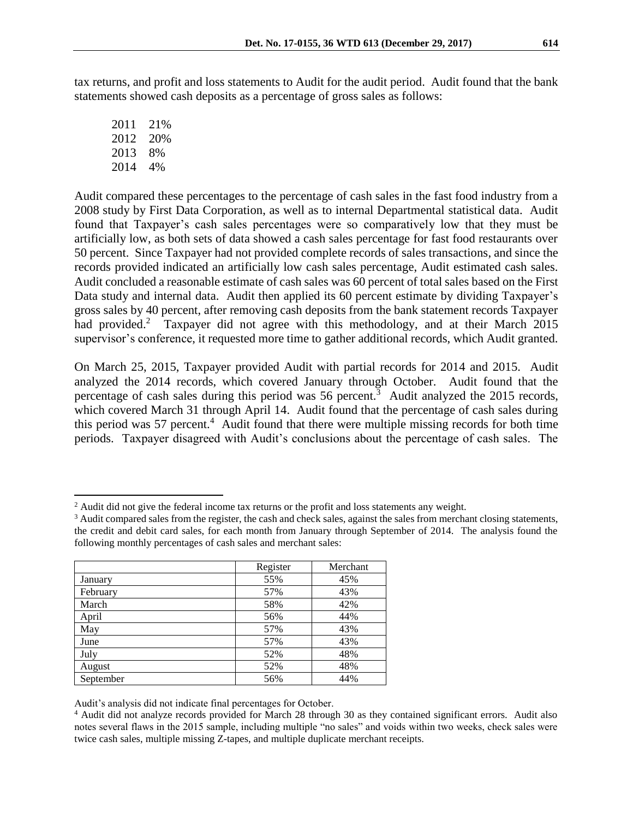tax returns, and profit and loss statements to Audit for the audit period. Audit found that the bank statements showed cash deposits as a percentage of gross sales as follows:

2011 21% 2012 20% 2013 8% 2014 4%

 $\overline{a}$ 

Audit compared these percentages to the percentage of cash sales in the fast food industry from a 2008 study by First Data Corporation, as well as to internal Departmental statistical data. Audit found that Taxpayer's cash sales percentages were so comparatively low that they must be artificially low, as both sets of data showed a cash sales percentage for fast food restaurants over 50 percent. Since Taxpayer had not provided complete records of sales transactions, and since the records provided indicated an artificially low cash sales percentage, Audit estimated cash sales. Audit concluded a reasonable estimate of cash sales was 60 percent of total sales based on the First Data study and internal data. Audit then applied its 60 percent estimate by dividing Taxpayer's gross sales by 40 percent, after removing cash deposits from the bank statement records Taxpayer had provided.<sup>2</sup> Taxpayer did not agree with this methodology, and at their March 2015 supervisor's conference, it requested more time to gather additional records, which Audit granted.

On March 25, 2015, Taxpayer provided Audit with partial records for 2014 and 2015. Audit analyzed the 2014 records, which covered January through October. Audit found that the percentage of cash sales during this period was 56 percent.<sup>3</sup> Audit analyzed the 2015 records, which covered March 31 through April 14. Audit found that the percentage of cash sales during this period was 57 percent.<sup>4</sup> Audit found that there were multiple missing records for both time periods. Taxpayer disagreed with Audit's conclusions about the percentage of cash sales. The

<sup>&</sup>lt;sup>3</sup> Audit compared sales from the register, the cash and check sales, against the sales from merchant closing statements, the credit and debit card sales, for each month from January through September of 2014. The analysis found the following monthly percentages of cash sales and merchant sales:

|           | Register | Merchant |
|-----------|----------|----------|
| January   | 55%      | 45%      |
| February  | 57%      | 43%      |
| March     | 58%      | 42%      |
| April     | 56%      | 44%      |
| May       | 57%      | 43%      |
| June      | 57%      | 43%      |
| July      | 52%      | 48%      |
| August    | 52%      | 48%      |
| September | 56%      | 44%      |

Audit's analysis did not indicate final percentages for October.

<sup>&</sup>lt;sup>2</sup> Audit did not give the federal income tax returns or the profit and loss statements any weight.

<sup>4</sup> Audit did not analyze records provided for March 28 through 30 as they contained significant errors. Audit also notes several flaws in the 2015 sample, including multiple "no sales" and voids within two weeks, check sales were twice cash sales, multiple missing Z-tapes, and multiple duplicate merchant receipts.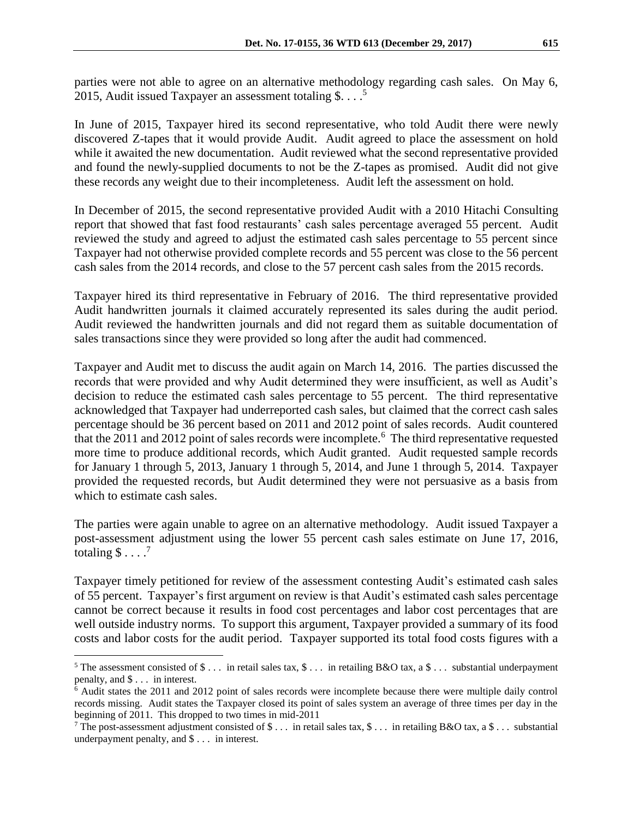parties were not able to agree on an alternative methodology regarding cash sales. On May 6, 2015, Audit issued Taxpayer an assessment totaling  $\$\dots$ .

In June of 2015, Taxpayer hired its second representative, who told Audit there were newly discovered Z-tapes that it would provide Audit. Audit agreed to place the assessment on hold while it awaited the new documentation. Audit reviewed what the second representative provided and found the newly-supplied documents to not be the Z-tapes as promised. Audit did not give these records any weight due to their incompleteness. Audit left the assessment on hold.

In December of 2015, the second representative provided Audit with a 2010 Hitachi Consulting report that showed that fast food restaurants' cash sales percentage averaged 55 percent. Audit reviewed the study and agreed to adjust the estimated cash sales percentage to 55 percent since Taxpayer had not otherwise provided complete records and 55 percent was close to the 56 percent cash sales from the 2014 records, and close to the 57 percent cash sales from the 2015 records.

Taxpayer hired its third representative in February of 2016. The third representative provided Audit handwritten journals it claimed accurately represented its sales during the audit period. Audit reviewed the handwritten journals and did not regard them as suitable documentation of sales transactions since they were provided so long after the audit had commenced.

Taxpayer and Audit met to discuss the audit again on March 14, 2016. The parties discussed the records that were provided and why Audit determined they were insufficient, as well as Audit's decision to reduce the estimated cash sales percentage to 55 percent. The third representative acknowledged that Taxpayer had underreported cash sales, but claimed that the correct cash sales percentage should be 36 percent based on 2011 and 2012 point of sales records. Audit countered that the 2011 and 2012 point of sales records were incomplete.<sup>6</sup> The third representative requested more time to produce additional records, which Audit granted. Audit requested sample records for January 1 through 5, 2013, January 1 through 5, 2014, and June 1 through 5, 2014. Taxpayer provided the requested records, but Audit determined they were not persuasive as a basis from which to estimate cash sales.

The parties were again unable to agree on an alternative methodology. Audit issued Taxpayer a post-assessment adjustment using the lower 55 percent cash sales estimate on June 17, 2016, totaling  $$ \dots$ .

Taxpayer timely petitioned for review of the assessment contesting Audit's estimated cash sales of 55 percent. Taxpayer's first argument on review is that Audit's estimated cash sales percentage cannot be correct because it results in food cost percentages and labor cost percentages that are well outside industry norms. To support this argument, Taxpayer provided a summary of its food costs and labor costs for the audit period. Taxpayer supported its total food costs figures with a

 $\overline{a}$ 

<sup>&</sup>lt;sup>5</sup> The assessment consisted of \$ ... in retail sales tax,  $\frac{1}{2}$ ... in retailing B&O tax, a  $\frac{1}{2}$ ... substantial underpayment penalty, and \$ . . . in interest.

<sup>6</sup> Audit states the 2011 and 2012 point of sales records were incomplete because there were multiple daily control records missing. Audit states the Taxpayer closed its point of sales system an average of three times per day in the beginning of 2011. This dropped to two times in mid-2011

<sup>&</sup>lt;sup>7</sup> The post-assessment adjustment consisted of \$ . . . in retail sales tax, \$ . . . in retailing B&O tax, a \$ . . . substantial underpayment penalty, and \$ . . . in interest.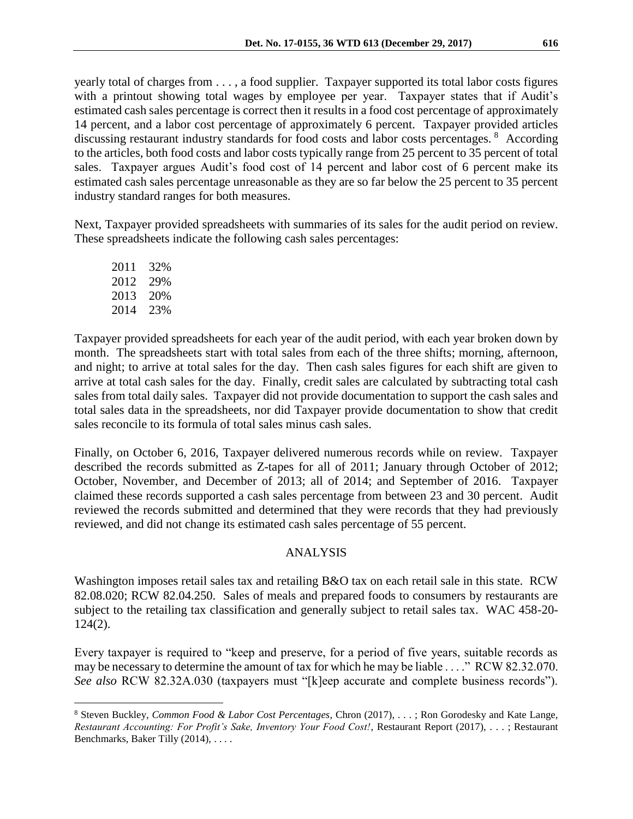yearly total of charges from . . . , a food supplier. Taxpayer supported its total labor costs figures with a printout showing total wages by employee per year. Taxpayer states that if Audit's estimated cash sales percentage is correct then it results in a food cost percentage of approximately 14 percent, and a labor cost percentage of approximately 6 percent. Taxpayer provided articles discussing restaurant industry standards for food costs and labor costs percentages. <sup>8</sup> According to the articles, both food costs and labor costs typically range from 25 percent to 35 percent of total sales. Taxpayer argues Audit's food cost of 14 percent and labor cost of 6 percent make its estimated cash sales percentage unreasonable as they are so far below the 25 percent to 35 percent industry standard ranges for both measures.

Next, Taxpayer provided spreadsheets with summaries of its sales for the audit period on review. These spreadsheets indicate the following cash sales percentages:

2011 32% 2012 29% 2013 20% 2014 23%

 $\overline{a}$ 

Taxpayer provided spreadsheets for each year of the audit period, with each year broken down by month. The spreadsheets start with total sales from each of the three shifts; morning, afternoon, and night; to arrive at total sales for the day. Then cash sales figures for each shift are given to arrive at total cash sales for the day. Finally, credit sales are calculated by subtracting total cash sales from total daily sales. Taxpayer did not provide documentation to support the cash sales and total sales data in the spreadsheets, nor did Taxpayer provide documentation to show that credit sales reconcile to its formula of total sales minus cash sales.

Finally, on October 6, 2016, Taxpayer delivered numerous records while on review. Taxpayer described the records submitted as Z-tapes for all of 2011; January through October of 2012; October, November, and December of 2013; all of 2014; and September of 2016. Taxpayer claimed these records supported a cash sales percentage from between 23 and 30 percent. Audit reviewed the records submitted and determined that they were records that they had previously reviewed, and did not change its estimated cash sales percentage of 55 percent.

# ANALYSIS

Washington imposes retail sales tax and retailing B&O tax on each retail sale in this state. RCW 82.08.020; RCW 82.04.250. Sales of meals and prepared foods to consumers by restaurants are subject to the retailing tax classification and generally subject to retail sales tax. WAC 458-20- 124(2).

Every taxpayer is required to "keep and preserve, for a period of five years, suitable records as may be necessary to determine the amount of tax for which he may be liable . . . ." RCW 82.32.070. *See also* RCW 82.32A.030 (taxpayers must "[k]eep accurate and complete business records").

<sup>8</sup> Steven Buckley, *Common Food & Labor Cost Percentages*, Chron (2017), . . . ; Ron Gorodesky and Kate Lange, *Restaurant Accounting: For Profit's Sake, Inventory Your Food Cost!*, Restaurant Report (2017), . . . ; Restaurant Benchmarks, Baker Tilly (2014), . . . .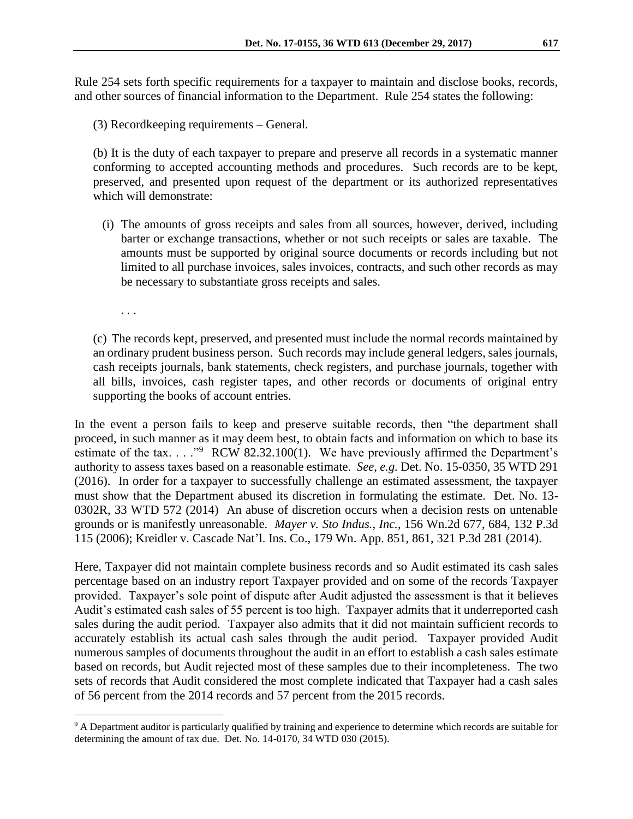Rule 254 sets forth specific requirements for a taxpayer to maintain and disclose books, records, and other sources of financial information to the Department. Rule 254 states the following:

(3) Recordkeeping requirements – General.

(b) It is the duty of each taxpayer to prepare and preserve all records in a systematic manner conforming to accepted accounting methods and procedures. Such records are to be kept, preserved, and presented upon request of the department or its authorized representatives which will demonstrate:

(i) The amounts of gross receipts and sales from all sources, however, derived, including barter or exchange transactions, whether or not such receipts or sales are taxable. The amounts must be supported by original source documents or records including but not limited to all purchase invoices, sales invoices, contracts, and such other records as may be necessary to substantiate gross receipts and sales.

. . .

 $\overline{a}$ 

(c) The records kept, preserved, and presented must include the normal records maintained by an ordinary prudent business person. Such records may include general ledgers, sales journals, cash receipts journals, bank statements, check registers, and purchase journals, together with all bills, invoices, cash register tapes, and other records or documents of original entry supporting the books of account entries.

In the event a person fails to keep and preserve suitable records, then "the department shall proceed, in such manner as it may deem best, to obtain facts and information on which to base its estimate of the tax.  $\ldots$ ."<sup>9</sup> RCW 82.32.100(1). We have previously affirmed the Department's authority to assess taxes based on a reasonable estimate. *See, e.g.* Det. No. 15-0350, 35 WTD 291 (2016). In order for a taxpayer to successfully challenge an estimated assessment, the taxpayer must show that the Department abused its discretion in formulating the estimate. Det. No. 13- 0302R, 33 WTD 572 (2014) An abuse of discretion occurs when a decision rests on untenable grounds or is manifestly unreasonable. *Mayer v. Sto Indus., Inc.*, 156 Wn.2d 677, 684, 132 P.3d 115 (2006); Kreidler v. Cascade Nat'l. Ins. Co., 179 Wn. App. 851, 861, 321 P.3d 281 (2014).

Here, Taxpayer did not maintain complete business records and so Audit estimated its cash sales percentage based on an industry report Taxpayer provided and on some of the records Taxpayer provided. Taxpayer's sole point of dispute after Audit adjusted the assessment is that it believes Audit's estimated cash sales of 55 percent is too high. Taxpayer admits that it underreported cash sales during the audit period. Taxpayer also admits that it did not maintain sufficient records to accurately establish its actual cash sales through the audit period. Taxpayer provided Audit numerous samples of documents throughout the audit in an effort to establish a cash sales estimate based on records, but Audit rejected most of these samples due to their incompleteness. The two sets of records that Audit considered the most complete indicated that Taxpayer had a cash sales of 56 percent from the 2014 records and 57 percent from the 2015 records.

<sup>&</sup>lt;sup>9</sup> A Department auditor is particularly qualified by training and experience to determine which records are suitable for determining the amount of tax due. Det. No. 14-0170, 34 WTD 030 (2015).